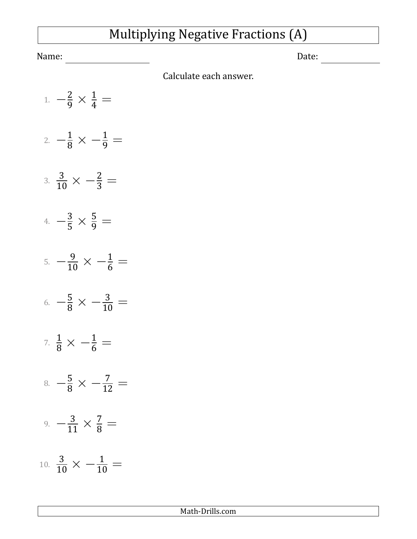## Multiplying Negative Fractions (A)

Name: Date:

Calculate each answer.

- 1. *−* 2 <sup>9</sup> *×*  $\frac{1}{4}$   $=$
- 2. *−*  $\frac{1}{8} \times -\frac{1}{9} =$
- 3.  $\frac{3}{10} \times -\frac{2}{3} =$
- 4. *−* 3  $\frac{5}{5}$   $\times$  $\frac{5}{9} =$
- 5. *−*  $\frac{9}{10} \times -\frac{1}{6} =$
- 6. *−*  $\frac{5}{8} \times -\frac{3}{10} =$
- 7.  $\frac{1}{8} \times -\frac{1}{6} =$
- 8. *−*  $\frac{5}{8} \times -\frac{7}{12} =$
- 9. *−* 3  $\frac{1}{11}$   $\times$  $\frac{7}{8}$  =
- 10.  $\frac{3}{10} \times -\frac{1}{10} =$